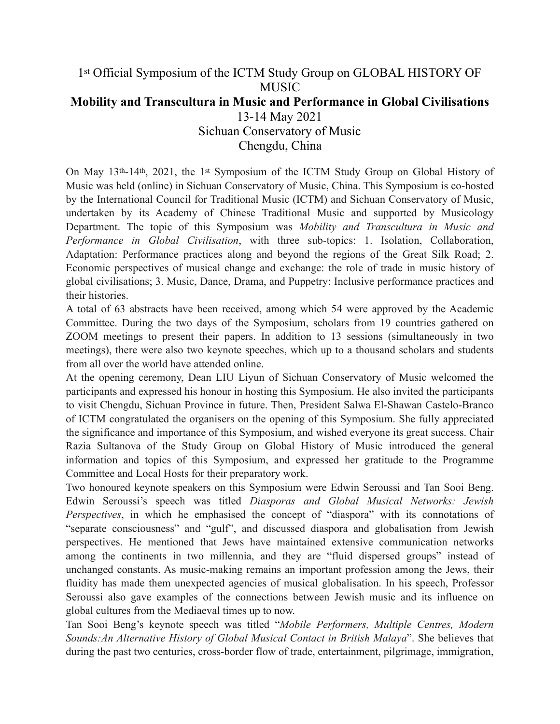## 1st Official Symposium of the ICTM Study Group on GLOBAL HISTORY OF MUSIC **Mobility and Transcultura in Music and Performance in Global Civilisations**  13-14 May 2021 Sichuan Conservatory of Music Chengdu, China

On May 13th-14th, 2021, the 1st Symposium of the ICTM Study Group on Global History of Music was held (online) in Sichuan Conservatory of Music, China. This Symposium is co-hosted by the International Council for Traditional Music (ICTM) and Sichuan Conservatory of Music, undertaken by its Academy of Chinese Traditional Music and supported by Musicology Department. The topic of this Symposium was *Mobility and Transcultura in Music and Performance in Global Civilisation*, with three sub-topics: 1. Isolation, Collaboration, Adaptation: Performance practices along and beyond the regions of the Great Silk Road; 2. Economic perspectives of musical change and exchange: the role of trade in music history of global civilisations; 3. Music, Dance, Drama, and Puppetry: Inclusive performance practices and their histories.

A total of 63 abstracts have been received, among which 54 were approved by the Academic Committee. During the two days of the Symposium, scholars from 19 countries gathered on ZOOM meetings to present their papers. In addition to 13 sessions (simultaneously in two meetings), there were also two keynote speeches, which up to a thousand scholars and students from all over the world have attended online.

At the opening ceremony, Dean LIU Liyun of Sichuan Conservatory of Music welcomed the participants and expressed his honour in hosting this Symposium. He also invited the participants to visit Chengdu, Sichuan Province in future. Then, President Salwa El-Shawan Castelo-Branco of ICTM congratulated the organisers on the opening of this Symposium. She fully appreciated the significance and importance of this Symposium, and wished everyone its great success. Chair Razia Sultanova of the Study Group on Global History of Music introduced the general information and topics of this Symposium, and expressed her gratitude to the Programme Committee and Local Hosts for their preparatory work.

Two honoured keynote speakers on this Symposium were Edwin Seroussi and Tan Sooi Beng. Edwin Seroussi's speech was titled *Diasporas and Global Musical Networks: Jewish Perspectives*, in which he emphasised the concept of "diaspora" with its connotations of "separate consciousness" and "gulf", and discussed diaspora and globalisation from Jewish perspectives. He mentioned that Jews have maintained extensive communication networks among the continents in two millennia, and they are "fluid dispersed groups" instead of unchanged constants. As music-making remains an important profession among the Jews, their fluidity has made them unexpected agencies of musical globalisation. In his speech, Professor Seroussi also gave examples of the connections between Jewish music and its influence on global cultures from the Mediaeval times up to now.

Tan Sooi Beng's keynote speech was titled "*Mobile Performers, Multiple Centres, Modern Sounds:An Alternative History of Global Musical Contact in British Malaya*". She believes that during the past two centuries, cross-border flow of trade, entertainment, pilgrimage, immigration,